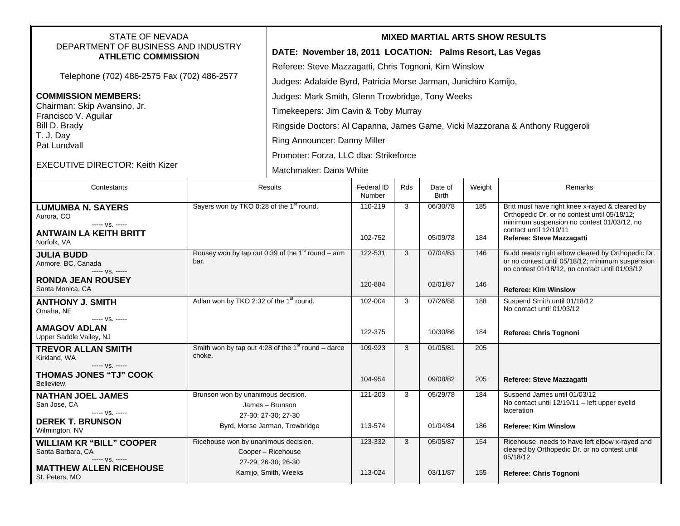| <b>STATE OF NEVADA</b><br>DEPARTMENT OF BUSINESS AND INDUSTRY<br><b>ATHLETIC COMMISSION</b> |                                                                          | <b>MIXED MARTIAL ARTS SHOW RESULTS</b>                          |                                                                               |     |                         |        |                                                                                                                                                        |  |  |
|---------------------------------------------------------------------------------------------|--------------------------------------------------------------------------|-----------------------------------------------------------------|-------------------------------------------------------------------------------|-----|-------------------------|--------|--------------------------------------------------------------------------------------------------------------------------------------------------------|--|--|
|                                                                                             |                                                                          | DATE: November 18, 2011 LOCATION: Palms Resort, Las Vegas       |                                                                               |     |                         |        |                                                                                                                                                        |  |  |
| Telephone (702) 486-2575 Fax (702) 486-2577                                                 |                                                                          | Referee: Steve Mazzagatti, Chris Tognoni, Kim Winslow           |                                                                               |     |                         |        |                                                                                                                                                        |  |  |
|                                                                                             |                                                                          | Judges: Adalaide Byrd, Patricia Morse Jarman, Junichiro Kamijo, |                                                                               |     |                         |        |                                                                                                                                                        |  |  |
| <b>COMMISSION MEMBERS:</b>                                                                  |                                                                          | Judges: Mark Smith, Glenn Trowbridge, Tony Weeks                |                                                                               |     |                         |        |                                                                                                                                                        |  |  |
| Chairman: Skip Avansino, Jr.<br>Francisco V. Aguilar                                        |                                                                          | Timekeepers: Jim Cavin & Toby Murray                            |                                                                               |     |                         |        |                                                                                                                                                        |  |  |
| Bill D. Brady                                                                               |                                                                          |                                                                 | Ringside Doctors: Al Capanna, James Game, Vicki Mazzorana & Anthony Ruggeroli |     |                         |        |                                                                                                                                                        |  |  |
| T. J. Day<br>Pat Lundvall                                                                   |                                                                          | Ring Announcer: Danny Miller                                    |                                                                               |     |                         |        |                                                                                                                                                        |  |  |
|                                                                                             |                                                                          | Promoter: Forza, LLC dba: Strikeforce                           |                                                                               |     |                         |        |                                                                                                                                                        |  |  |
| <b>EXECUTIVE DIRECTOR: Keith Kizer</b>                                                      |                                                                          | Matchmaker: Dana White                                          |                                                                               |     |                         |        |                                                                                                                                                        |  |  |
| Contestants                                                                                 | Results                                                                  |                                                                 | <b>Federal ID</b><br>Number                                                   | Rds | Date of<br><b>Birth</b> | Weight | Remarks                                                                                                                                                |  |  |
| <b>LUMUMBA N. SAYERS</b><br>Aurora, CO                                                      | Sayers won by TKO 0:28 of the 1 <sup>st</sup> round.                     |                                                                 | 110-219                                                                       | 3   | 06/30/78                | 185    | Britt must have right knee x-rayed & cleared by<br>Orthopedic Dr. or no contest until 05/18/12;                                                        |  |  |
| ----- VS. -----                                                                             |                                                                          |                                                                 |                                                                               |     |                         |        | minimum suspension no contest 01/03/12, no<br>contact until 12/19/11                                                                                   |  |  |
| <b>ANTWAIN LA KEITH BRITT</b><br>Norfolk, VA                                                |                                                                          |                                                                 | 102-752                                                                       |     | 05/09/78                | 184    | Referee: Steve Mazzagatti                                                                                                                              |  |  |
| <b>JULIA BUDD</b><br>Anmore, BC, Canada<br>$--- VS. ---$                                    | Rousey won by tap out 0:39 of the 1 $\mathrm{^{st}}$ round – arm<br>bar. |                                                                 | 122-531                                                                       | 3   | 07/04/83                | 146    | Budd needs right elbow cleared by Orthopedic Dr.<br>or no contest until 05/18/12; minimum suspension<br>no contest 01/18/12, no contact until 01/03/12 |  |  |
| <b>RONDA JEAN ROUSEY</b><br>Santa Monica, CA                                                |                                                                          |                                                                 | 120-884                                                                       |     | 02/01/87                | 146    | <b>Referee: Kim Winslow</b>                                                                                                                            |  |  |
| <b>ANTHONY J. SMITH</b><br>Omaha, NE                                                        | Adlan won by TKO 2:32 of the 1 <sup>st</sup> round.                      |                                                                 | 102-004                                                                       | 3   | 07/26/88                | 188    | Suspend Smith until 01/18/12<br>No contact until 01/03/12                                                                                              |  |  |
| ----- VS. -----<br><b>AMAGOV ADLAN</b><br>Upper Saddle Valley, NJ                           |                                                                          |                                                                 | 122-375                                                                       |     | 10/30/86                | 184    | Referee: Chris Tognoni                                                                                                                                 |  |  |
| <b>TREVOR ALLAN SMITH</b><br>Kirkland, WA                                                   | Smith won by tap out 4:28 of the $1st$ round – darce<br>choke.           |                                                                 | 109-923                                                                       | 3   | 01/05/81                | 205    |                                                                                                                                                        |  |  |
| ----- VS. -----                                                                             |                                                                          |                                                                 |                                                                               |     |                         |        |                                                                                                                                                        |  |  |
| <b>THOMAS JONES "TJ" COOK</b><br>Belleview,                                                 |                                                                          |                                                                 | 104-954                                                                       |     | 09/08/82                | 205    | Referee: Steve Mazzagatti                                                                                                                              |  |  |
| <b>NATHAN JOEL JAMES</b><br>San Jose, CA                                                    | Brunson won by unanimous decision.                                       |                                                                 | 121-203                                                                       | 3   | 05/29/78                | 184    | Suspend James until 01/03/12<br>No contact until 12/19/11 - left upper eyelid                                                                          |  |  |
| ----- VS. -----                                                                             | James - Brunson<br>27-30; 27-30; 27-30                                   |                                                                 |                                                                               |     |                         |        | laceration                                                                                                                                             |  |  |
| <b>DEREK T. BRUNSON</b><br>Wilmington, NV                                                   | Byrd, Morse Jarman, Trowbridge                                           |                                                                 | 113-574                                                                       |     | 01/04/84                | 186    | <b>Referee: Kim Winslow</b>                                                                                                                            |  |  |
| <b>WILLIAM KR "BILL" COOPER</b>                                                             | Ricehouse won by unanimous decision.                                     |                                                                 | 123-332                                                                       | 3   | 05/05/87                | 154    | Ricehouse needs to have left elbow x-rayed and<br>cleared by Orthopedic Dr. or no contest until                                                        |  |  |
| Santa Barbara, CA<br>----- VS. -----                                                        | Cooper - Ricehouse<br>27-29; 26-30; 26-30                                |                                                                 |                                                                               |     |                         |        | 05/18/12                                                                                                                                               |  |  |
| <b>MATTHEW ALLEN RICEHOUSE</b><br>St. Peters, MO                                            | Kamijo, Smith, Weeks                                                     |                                                                 | 113-024                                                                       |     | 03/11/87                | 155    | Referee: Chris Tognoni                                                                                                                                 |  |  |